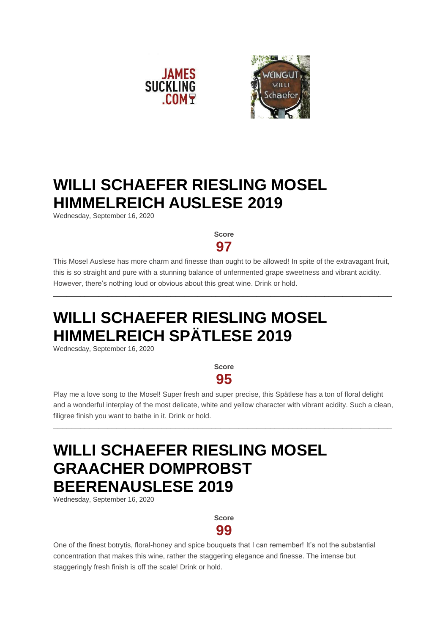



### **WILLI SCHAEFER RIESLING MOSEL HIMMELREICH AUSLESE 2019**

Wednesday, September 16, 2020

**Score 97**

This Mosel Auslese has more charm and finesse than ought to be allowed! In spite of the extravagant fruit, this is so straight and pure with a stunning balance of unfermented grape sweetness and vibrant acidity. However, there's nothing loud or obvious about this great wine. Drink or hold.

\_\_\_\_\_\_\_\_\_\_\_\_\_\_\_\_\_\_\_\_\_\_\_\_\_\_\_\_\_\_\_\_\_\_\_\_\_\_\_\_\_\_\_\_\_\_\_\_\_\_\_\_\_\_\_\_\_\_\_\_\_\_\_\_\_\_\_\_\_\_\_\_\_\_\_

# **WILLI SCHAEFER RIESLING MOSEL HIMMELREICH SPÄTLESE 2019**

Wednesday, September 16, 2020

**Score 95**

Play me a love song to the Mosel! Super fresh and super precise, this Spätlese has a ton of floral delight and a wonderful interplay of the most delicate, white and yellow character with vibrant acidity. Such a clean, filigree finish you want to bathe in it. Drink or hold.

\_\_\_\_\_\_\_\_\_\_\_\_\_\_\_\_\_\_\_\_\_\_\_\_\_\_\_\_\_\_\_\_\_\_\_\_\_\_\_\_\_\_\_\_\_\_\_\_\_\_\_\_\_\_\_\_\_\_\_\_\_\_\_\_\_\_\_\_\_\_\_\_\_\_\_

# **WILLI SCHAEFER RIESLING MOSEL GRAACHER DOMPROBST BEERENAUSLESE 2019**

Wednesday, September 16, 2020

**Score 99**

One of the finest botrytis, floral-honey and spice bouquets that I can remember! It's not the substantial concentration that makes this wine, rather the staggering elegance and finesse. The intense but staggeringly fresh finish is off the scale! Drink or hold.